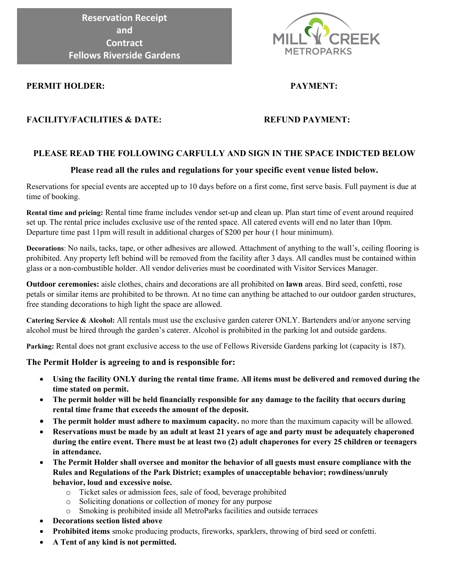**Reservation Receipt and Contract Fellows Riverside Gardens**



# **PERMIT HOLDER: PAYMENT:**

# **FACILITY/FACILITIES & DATE: REFUND PAYMENT:**

# **PLEASE READ THE FOLLOWING CARFULLY AND SIGN IN THE SPACE INDICTED BELOW**

# **Please read all the rules and regulations for your specific event venue listed below.**

Reservations for special events are accepted up to 10 days before on a first come, first serve basis. Full payment is due at time of booking.

**Rental time and pricing:** Rental time frame includes vendor set-up and clean up. Plan start time of event around required set up. The rental price includes exclusive use of the rented space. All catered events will end no later than 10pm. Departure time past 11pm will result in additional charges of \$200 per hour (1 hour minimum).

**Decorations**: No nails, tacks, tape, or other adhesives are allowed. Attachment of anything to the wall's, ceiling flooring is prohibited. Any property left behind will be removed from the facility after 3 days. All candles must be contained within glass or a non-combustible holder. All vendor deliveries must be coordinated with Visitor Services Manager.

**Outdoor ceremonies:** aisle clothes, chairs and decorations are all prohibited on **lawn** areas. Bird seed, confetti, rose petals or similar items are prohibited to be thrown. At no time can anything be attached to our outdoor garden structures, free standing decorations to high light the space are allowed.

**Catering Service & Alcohol:** All rentals must use the exclusive garden caterer ONLY. Bartenders and/or anyone serving alcohol must be hired through the garden's caterer. Alcohol is prohibited in the parking lot and outside gardens.

**Parking:** Rental does not grant exclusive access to the use of Fellows Riverside Gardens parking lot (capacity is 187).

# **The Permit Holder is agreeing to and is responsible for:**

- **Using the facility ONLY during the rental time frame. All items must be delivered and removed during the time stated on permit.**
- **The permit holder will be held financially responsible for any damage to the facility that occurs during rental time frame that exceeds the amount of the deposit.**
- **The permit holder must adhere to maximum capacity.** no more than the maximum capacity will be allowed.
- **Reservations must be made by an adult at least 21 years of age and party must be adequately chaperoned during the entire event. There must be at least two (2) adult chaperones for every 25 children or teenagers in attendance.**
- **The Permit Holder shall oversee and monitor the behavior of all guests must ensure compliance with the Rules and Regulations of the Park District; examples of unacceptable behavior; rowdiness/unruly behavior, loud and excessive noise.**
	- o Ticket sales or admission fees, sale of food, beverage prohibited
	- o Soliciting donations or collection of money for any purpose
	- o Smoking is prohibited inside all MetroParks facilities and outside terraces
- **Decorations section listed above**
- **Prohibited items** smoke producing products, fireworks, sparklers, throwing of bird seed or confetti.
- **A Tent of any kind is not permitted.**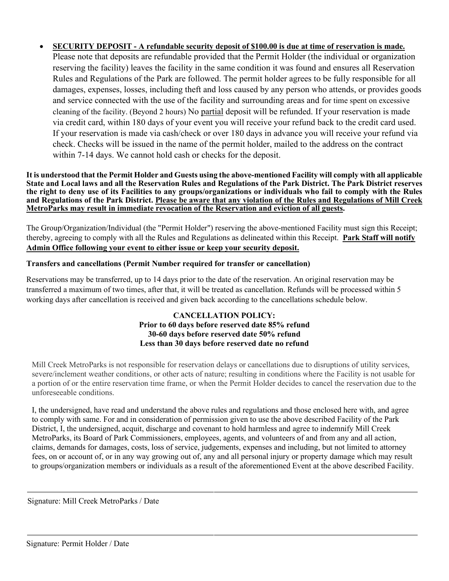# • **SECURITY DEPOSIT - A refundable security deposit of \$100.00 is due at time of reservation is made.**

Please note that deposits are refundable provided that the Permit Holder (the individual or organization reserving the facility) leaves the facility in the same condition it was found and ensures all Reservation Rules and Regulations of the Park are followed. The permit holder agrees to be fully responsible for all damages, expenses, losses, including theft and loss caused by any person who attends, or provides goods and service connected with the use of the facility and surrounding areas and for time spent on excessive cleaning of the facility. (Beyond 2 hours) No partial deposit will be refunded. If your reservation is made via credit card, within 180 days of your event you will receive your refund back to the credit card used. If your reservation is made via cash/check or over 180 days in advance you will receive your refund via check. Checks will be issued in the name of the permit holder, mailed to the address on the contract within 7-14 days. We cannot hold cash or checks for the deposit.

#### **It is understood that the Permit Holder and Guests using the above-mentioned Facility will comply with all applicable State and Local laws and all the Reservation Rules and Regulations of the Park District. The Park District reserves the right to deny use of its Facilities to any groups/organizations or individuals who fail to comply with the Rules and Regulations of the Park District. Please be aware that any violation of the Rules and Regulations of Mill Creek MetroParks may result in immediate revocation of the Reservation and eviction of all guests.**

The Group/Organization/Individual (the "Permit Holder") reserving the above-mentioned Facility must sign this Receipt; thereby, agreeing to comply with all the Rules and Regulations as delineated within this Receipt. **Park Staff will notify Admin Office following your event to either issue or keep your security deposit.**

# **Transfers and cancellations (Permit Number required for transfer or cancellation)**

Reservations may be transferred, up to 14 days prior to the date of the reservation. An original reservation may be transferred a maximum of two times, after that, it will be treated as cancellation. Refunds will be processed within 5 working days after cancellation is received and given back according to the cancellations schedule below.

# **CANCELLATION POLICY: Prior to 60 days before reserved date 85% refund 30-60 days before reserved date 50% refund Less than 30 days before reserved date no refund**

Mill Creek MetroParks is not responsible for reservation delays or cancellations due to disruptions of utility services, severe/inclement weather conditions, or other acts of nature; resulting in conditions where the Facility is not usable for a portion of or the entire reservation time frame, or when the Permit Holder decides to cancel the reservation due to the unforeseeable conditions.

I, the undersigned, have read and understand the above rules and regulations and those enclosed here with, and agree to comply with same. For and in consideration of permission given to use the above described Facility of the Park District, I, the undersigned, acquit, discharge and covenant to hold harmless and agree to indemnify Mill Creek MetroParks, its Board of Park Commissioners, employees, agents, and volunteers of and from any and all action, claims, demands for damages, costs, loss of service, judgements, expenses and including, but not limited to attorney fees, on or account of, or in any way growing out of, any and all personal injury or property damage which may result to groups/organization members or individuals as a result of the aforementioned Event at the above described Facility.

Signature: Mill Creek MetroParks / Date